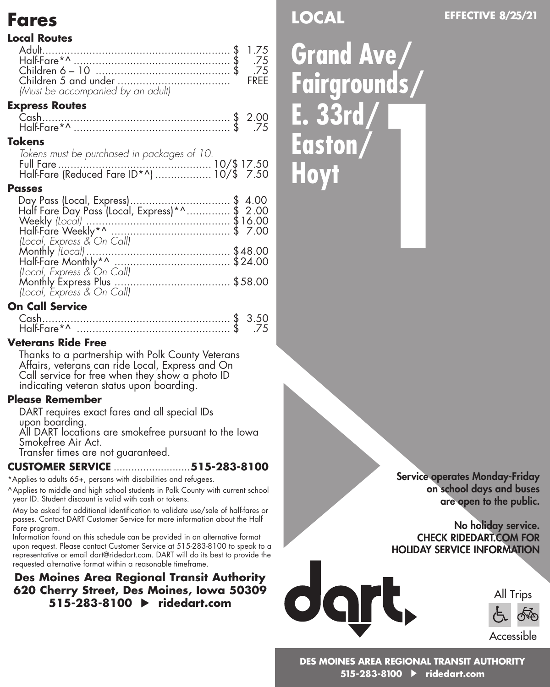# **Fares**

#### **Local Routes**

|                                   | FREE |
|-----------------------------------|------|
| (Must be accompanied by an adult) |      |
| <b>Express Routes</b>             |      |
| $\sum_{n=1}^{\infty}$             |      |

#### Cash............................................................ \$ 2.00 Half-Fare\*^ .................................................. \$ .75

#### **Tokens**

| Tokens must be purchased in packages of 10. |  |
|---------------------------------------------|--|
|                                             |  |
|                                             |  |

#### **Passes**

| Day Pass (Local, Express)\$ 4.00<br>Half Fare Day Pass (Local, Express)*^\$ 2.00 |  |
|----------------------------------------------------------------------------------|--|
|                                                                                  |  |
|                                                                                  |  |
|                                                                                  |  |
|                                                                                  |  |
|                                                                                  |  |
|                                                                                  |  |
| (Local, Express & On Call)                                                       |  |
|                                                                                  |  |
|                                                                                  |  |
|                                                                                  |  |

#### **On Call Service**

| Half-Fare*^ | .75 |
|-------------|-----|

#### **Veterans Ride Free**

Thanks to a partnership with Polk County Veterans Affairs, veterans can ride Local, Express and On Call service for free when they show a photo ID indicating veteran status upon boarding.

#### **Please Remember**

DART requires exact fares and all special IDs upon boarding.

All DART locations are smokefree pursuant to the Iowa Smokefree Air Act.

Transfer times are not guaranteed.

### **CUSTOMER SERVICE** ..........................**515-283-8100**

\*Applies to adults 65+, persons with disabilities and refugees.

^Applies to middle and high school students in Polk County with current school year ID. Student discount is valid with cash or tokens.

May be asked for additional identification to validate use/sale of half-fares or passes. Contact DART Customer Service for more information about the Half Fare program.

Information found on this schedule can be provided in an alternative format upon request. Please contact Customer Service at 515-283-8100 to speak to a representative or email dart@ridedart.com. DART will do its best to provide the requested alternative format within a reasonable timeframe.

## **Des Moines Area Regional Transit Authority 620 Cherry Street, Des Moines, Iowa 50309 515-283-8100 ridedart.com**

**LOCAL**

**Grand Ave/ Fairgrounds/ E. 33rd/ Easton/ Hoyt 1**

> Service operates Monday-Friday on school days and buses are open to the public.

#### No holiday service. CHECK RIDEDART.COM FOR HOLIDAY SERVICE INFORMATION



All Trips Accessible

**DES MOINES AREA REGIONAL TRANSIT AUTHORITY 515-283-8100 ridedart.com**

## **EFFECTIVE 8/25/21**